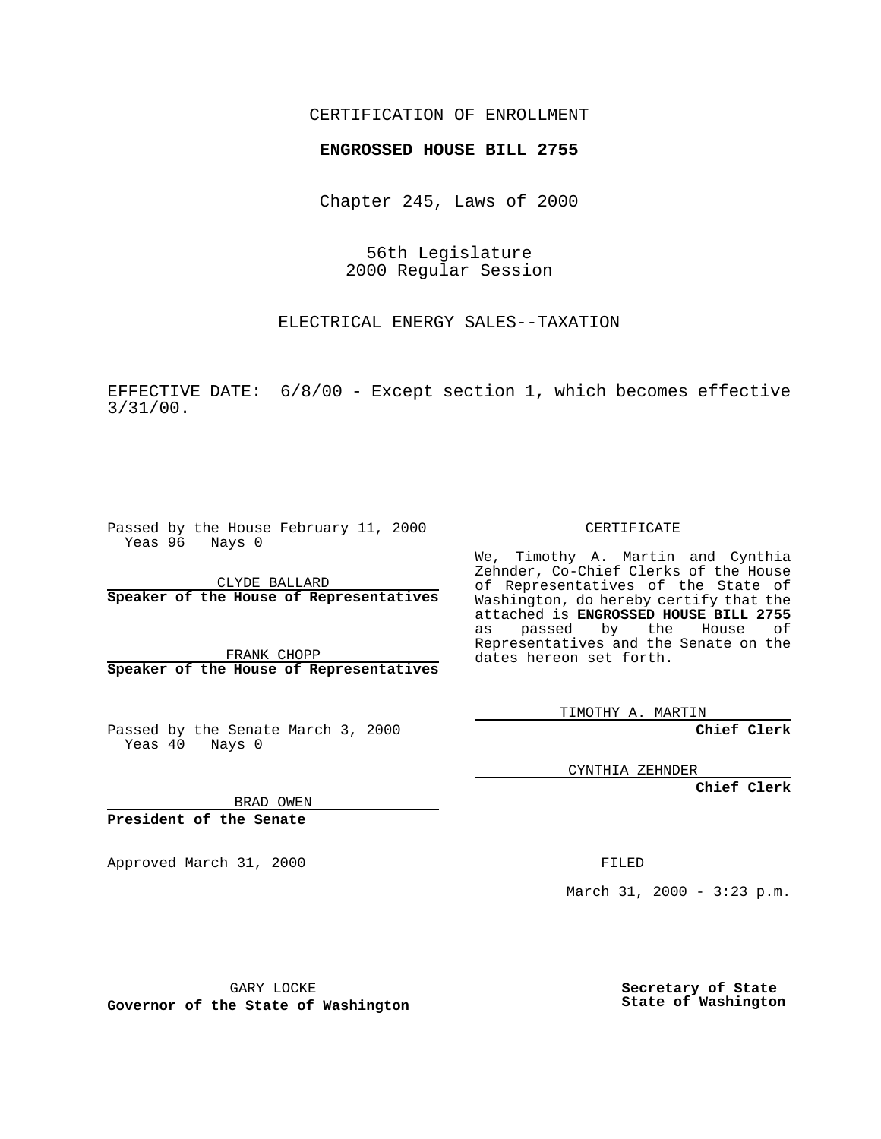## CERTIFICATION OF ENROLLMENT

## **ENGROSSED HOUSE BILL 2755**

Chapter 245, Laws of 2000

56th Legislature 2000 Regular Session

ELECTRICAL ENERGY SALES--TAXATION

EFFECTIVE DATE: 6/8/00 - Except section 1, which becomes effective 3/31/00.

Passed by the House February 11, 2000 Yeas 96 Nays 0

CLYDE BALLARD **Speaker of the House of Representatives**

FRANK CHOPP **Speaker of the House of Representatives**

Passed by the Senate March 3, 2000 Yeas 40 Nays 0

CERTIFICATE

We, Timothy A. Martin and Cynthia Zehnder, Co-Chief Clerks of the House of Representatives of the State of Washington, do hereby certify that the attached is **ENGROSSED HOUSE BILL 2755** as passed by the House of Representatives and the Senate on the dates hereon set forth.

TIMOTHY A. MARTIN

**Chief Clerk**

CYNTHIA ZEHNDER

**Chief Clerk**

BRAD OWEN

**President of the Senate**

Approved March 31, 2000 FILED

March 31, 2000 - 3:23 p.m.

GARY LOCKE

**Governor of the State of Washington**

**Secretary of State State of Washington**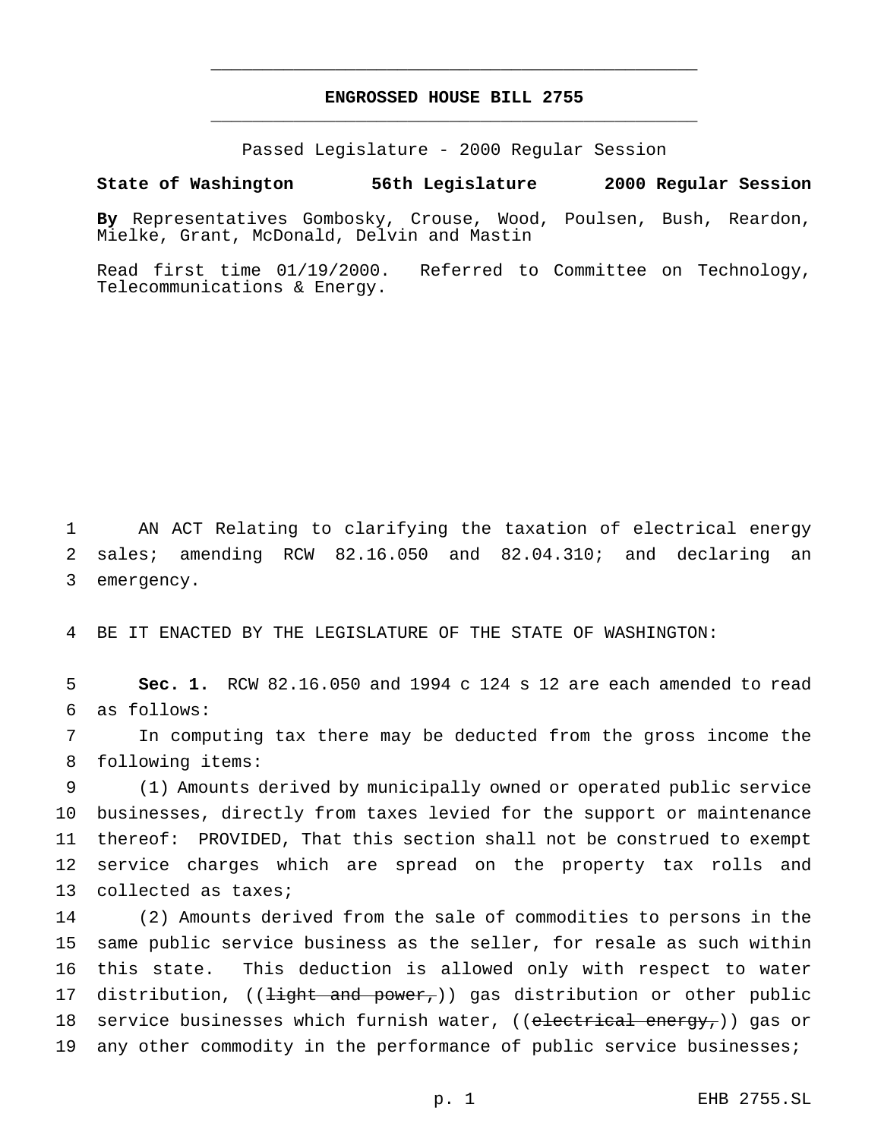## **ENGROSSED HOUSE BILL 2755** \_\_\_\_\_\_\_\_\_\_\_\_\_\_\_\_\_\_\_\_\_\_\_\_\_\_\_\_\_\_\_\_\_\_\_\_\_\_\_\_\_\_\_\_\_\_\_

\_\_\_\_\_\_\_\_\_\_\_\_\_\_\_\_\_\_\_\_\_\_\_\_\_\_\_\_\_\_\_\_\_\_\_\_\_\_\_\_\_\_\_\_\_\_\_

Passed Legislature - 2000 Regular Session

## **State of Washington 56th Legislature 2000 Regular Session**

**By** Representatives Gombosky, Crouse, Wood, Poulsen, Bush, Reardon, Mielke, Grant, McDonald, Delvin and Mastin

Read first time 01/19/2000. Referred to Committee on Technology, Telecommunications & Energy.

1 AN ACT Relating to clarifying the taxation of electrical energy 2 sales; amending RCW 82.16.050 and 82.04.310; and declaring an 3 emergency.

4 BE IT ENACTED BY THE LEGISLATURE OF THE STATE OF WASHINGTON:

5 **Sec. 1.** RCW 82.16.050 and 1994 c 124 s 12 are each amended to read 6 as follows:

7 In computing tax there may be deducted from the gross income the 8 following items:

 (1) Amounts derived by municipally owned or operated public service businesses, directly from taxes levied for the support or maintenance thereof: PROVIDED, That this section shall not be construed to exempt service charges which are spread on the property tax rolls and collected as taxes;

14 (2) Amounts derived from the sale of commodities to persons in the 15 same public service business as the seller, for resale as such within 16 this state. This deduction is allowed only with respect to water 17 distribution, ((<del>light and power,</del>)) gas distribution or other public 18 service businesses which furnish water, ((electrical energy,)) gas or 19 any other commodity in the performance of public service businesses;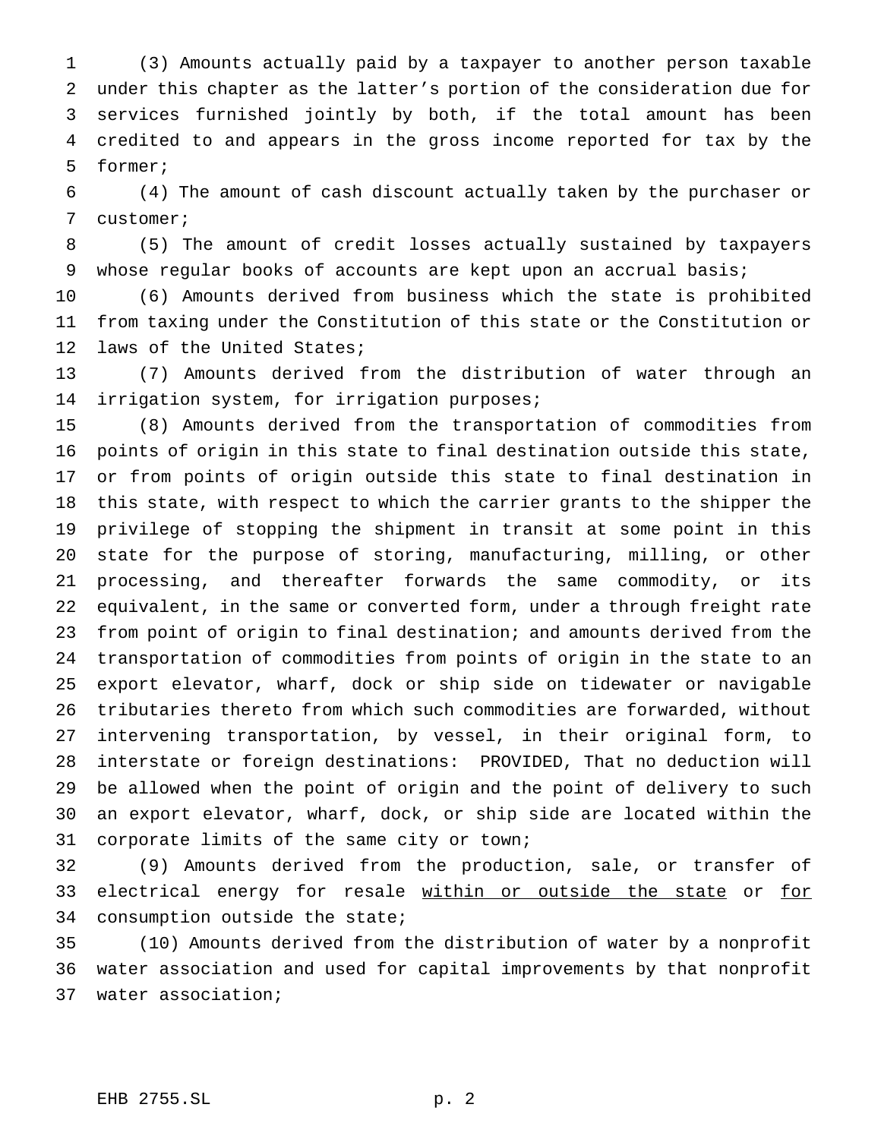(3) Amounts actually paid by a taxpayer to another person taxable under this chapter as the latter's portion of the consideration due for services furnished jointly by both, if the total amount has been credited to and appears in the gross income reported for tax by the former;

 (4) The amount of cash discount actually taken by the purchaser or customer;

 (5) The amount of credit losses actually sustained by taxpayers whose regular books of accounts are kept upon an accrual basis;

 (6) Amounts derived from business which the state is prohibited from taxing under the Constitution of this state or the Constitution or laws of the United States;

 (7) Amounts derived from the distribution of water through an irrigation system, for irrigation purposes;

 (8) Amounts derived from the transportation of commodities from points of origin in this state to final destination outside this state, or from points of origin outside this state to final destination in this state, with respect to which the carrier grants to the shipper the privilege of stopping the shipment in transit at some point in this state for the purpose of storing, manufacturing, milling, or other processing, and thereafter forwards the same commodity, or its equivalent, in the same or converted form, under a through freight rate from point of origin to final destination; and amounts derived from the transportation of commodities from points of origin in the state to an export elevator, wharf, dock or ship side on tidewater or navigable tributaries thereto from which such commodities are forwarded, without intervening transportation, by vessel, in their original form, to interstate or foreign destinations: PROVIDED, That no deduction will be allowed when the point of origin and the point of delivery to such an export elevator, wharf, dock, or ship side are located within the corporate limits of the same city or town;

 (9) Amounts derived from the production, sale, or transfer of 33 electrical energy for resale within or outside the state or for consumption outside the state;

 (10) Amounts derived from the distribution of water by a nonprofit water association and used for capital improvements by that nonprofit water association;